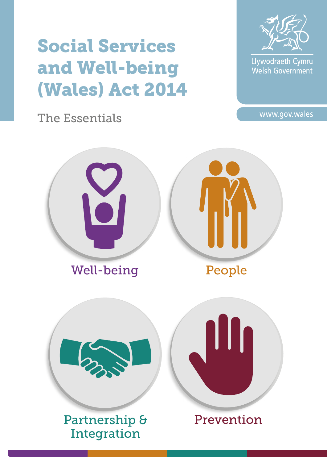# Social Services and Well-being (Wales) Act 2014

The Essentials



Llywodraeth Cymru Welsh Government

www.gov.wales

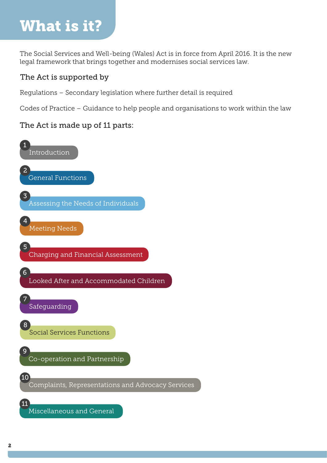# What is it?

The Social Services and Well-being (Wales) Act is in force from April 2016. It is the new legal framework that brings together and modernises social services law.

### The Act is supported by

Regulations – Secondary legislation where further detail is required

Codes of Practice – Guidance to help people and organisations to work within the law

### The Act is made up of 11 parts:

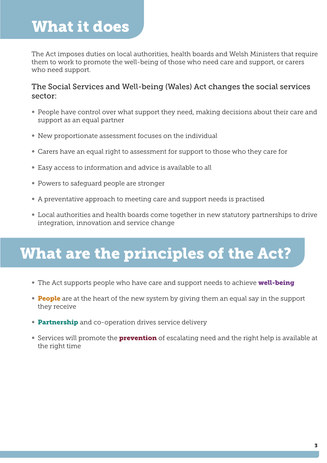## What it does

The Act imposes duties on local authorities, health boards and Welsh Ministers that require them to work to promote the well-being of those who need care and support, or carers who need support.

### The Social Services and Well-being (Wales) Act changes the social services sector:

- People have control over what support they need, making decisions about their care and support as an equal partner
- New proportionate assessment focuses on the individual
- Carers have an equal right to assessment for support to those who they care for
- Easy access to information and advice is available to all
- Powers to safeguard people are stronger
- A preventative approach to meeting care and support needs is practised
- Local authorities and health boards come together in new statutory partnerships to drive integration, innovation and service change

# What are the principles of the Act?

- The Act supports people who have care and support needs to achieve **well-being**
- People are at the heart of the new system by giving them an equal say in the support they receive
- Partnership and co-operation drives service delivery
- Services will promote the **prevention** of escalating need and the right help is available at the right time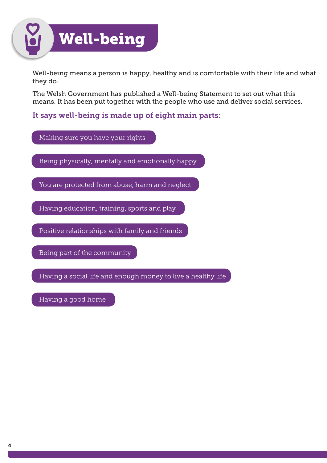

Well-being means a person is happy, healthy and is comfortable with their life and what they do.

The Welsh Government has published a Well-being Statement to set out what this means. It has been put together with the people who use and deliver social services.

It says well-being is made up of eight main parts:

Making sure you have your rights

Being physically, mentally and emotionally happy

You are protected from abuse, harm and neglect

Having education, training, sports and play

Positive relationships with family and friends

Being part of the community

Having a social life and enough money to live a healthy life

Having a good home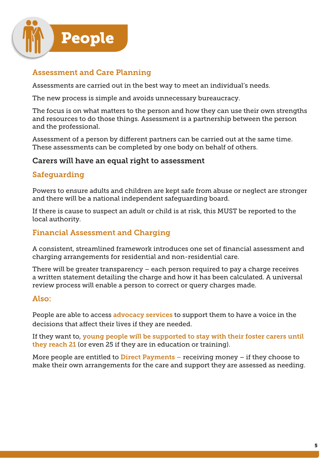

### Assessment and Care Planning

Assessments are carried out in the best way to meet an individual's needs.

The new process is simple and avoids unnecessary bureaucracy.

The focus is on what matters to the person and how they can use their own strengths and resources to do those things. Assessment is a partnership between the person and the professional.

Assessment of a person by different partners can be carried out at the same time. These assessments can be completed by one body on behalf of others.

### Carers will have an equal right to assessment

### Safeguarding

Powers to ensure adults and children are kept safe from abuse or neglect are stronger and there will be a national independent safeguarding board.

If there is cause to suspect an adult or child is at risk, this MUST be reported to the local authority.

### Financial Assessment and Charging

A consistent, streamlined framework introduces one set of financial assessment and charging arrangements for residential and non-residential care.

There will be greater transparency – each person required to pay a charge receives a written statement detailing the charge and how it has been calculated. A universal review process will enable a person to correct or query charges made.

### Also:

People are able to access advocacy services to support them to have a voice in the decisions that affect their lives if they are needed.

If they want to, young people will be supported to stay with their foster carers until they reach 21 (or even 25 if they are in education or training).

More people are entitled to **Direct Payments** – receiving money – if they choose to make their own arrangements for the care and support they are assessed as needing.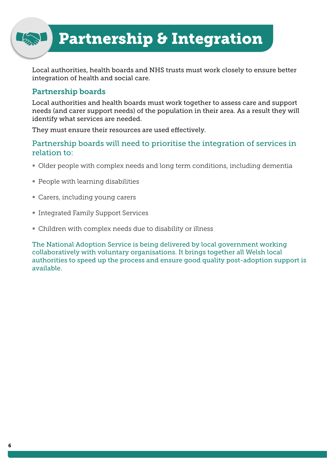## Partnership & Integration

Local authorities, health boards and NHS trusts must work closely to ensure better integration of health and social care.

### Partnership boards

Local authorities and health boards must work together to assess care and support needs (and carer support needs) of the population in their area. As a result they will identify what services are needed.

They must ensure their resources are used effectively.

### Partnership boards will need to prioritise the integration of services in relation to:

- Older people with complex needs and long term conditions, including dementia
- People with learning disabilities
- Carers, including young carers
- Integrated Family Support Services
- Children with complex needs due to disability or illness

The National Adoption Service is being delivered by local government working collaboratively with voluntary organisations. It brings together all Welsh local authorities to speed up the process and ensure good quality post-adoption support is available.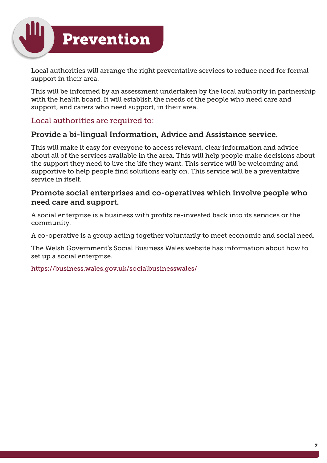

Local authorities will arrange the right preventative services to reduce need for formal support in their area.

This will be informed by an assessment undertaken by the local authority in partnership with the health board. It will establish the needs of the people who need care and support, and carers who need support, in their area.

### Local authorities are required to:

### Provide a bi-lingual Information, Advice and Assistance service.

This will make it easy for everyone to access relevant, clear information and advice about all of the services available in the area. This will help people make decisions about the support they need to live the life they want. This service will be welcoming and supportive to help people find solutions early on. This service will be a preventative service in itself.

### Promote social enterprises and co-operatives which involve people who need care and support.

A social enterprise is a business with profits re-invested back into its services or the community.

A co-operative is a group acting together voluntarily to meet economic and social need.

The Welsh Government's Social Business Wales website has information about how to set up a social enterprise.

https://business.wales.gov.uk/socialbusinesswales/